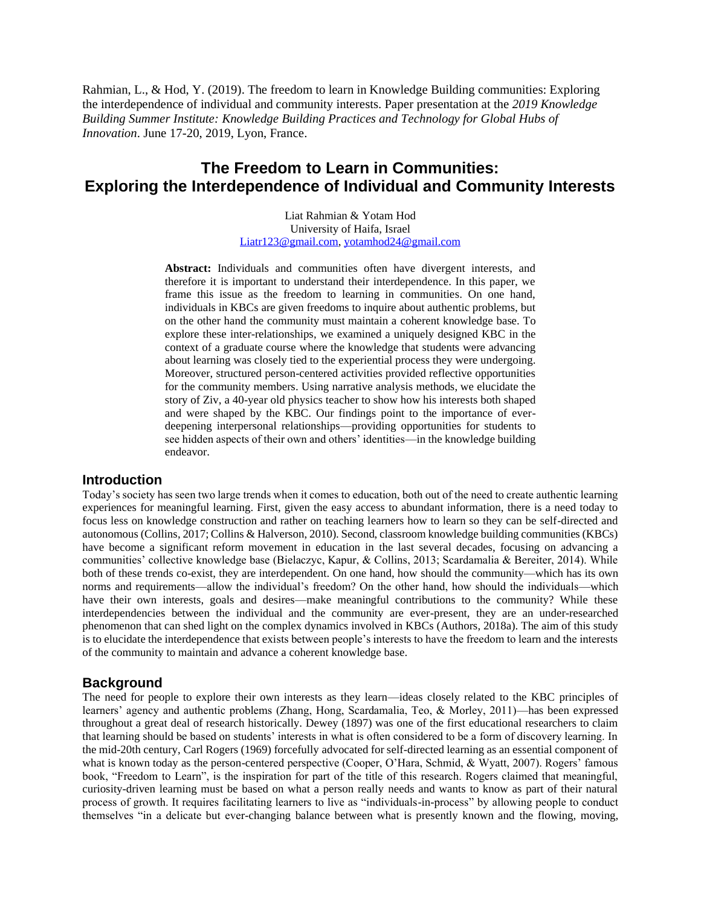Rahmian, L., & Hod, Y. (2019). The freedom to learn in Knowledge Building communities: Exploring the interdependence of individual and community interests. Paper presentation at the *2019 Knowledge Building Summer Institute: Knowledge Building Practices and Technology for Global Hubs of Innovation*. June 17-20, 2019, Lyon, France.

# **The Freedom to Learn in Communities: Exploring the Interdependence of Individual and Community Interests**

Liat Rahmian & Yotam Hod University of Haifa, Israel [Liatr123@gmail.com,](mailto:Liatr123@gmail.com) [yotamhod24@gmail.com](mailto:yotamhod24@gmail.com)

**Abstract:** Individuals and communities often have divergent interests, and therefore it is important to understand their interdependence. In this paper, we frame this issue as the freedom to learning in communities. On one hand, individuals in KBCs are given freedoms to inquire about authentic problems, but on the other hand the community must maintain a coherent knowledge base. To explore these inter-relationships, we examined a uniquely designed KBC in the context of a graduate course where the knowledge that students were advancing about learning was closely tied to the experiential process they were undergoing. Moreover, structured person-centered activities provided reflective opportunities for the community members. Using narrative analysis methods, we elucidate the story of Ziv, a 40-year old physics teacher to show how his interests both shaped and were shaped by the KBC. Our findings point to the importance of everdeepening interpersonal relationships—providing opportunities for students to see hidden aspects of their own and others' identities—in the knowledge building endeavor.

## **Introduction**

Today's society has seen two large trends when it comes to education, both out of the need to create authentic learning experiences for meaningful learning. First, given the easy access to abundant information, there is a need today to focus less on knowledge construction and rather on teaching learners how to learn so they can be self-directed and autonomous (Collins, 2017; Collins & Halverson, 2010). Second, classroom knowledge building communities (KBCs) have become a significant reform movement in education in the last several decades, focusing on advancing a communities' collective knowledge base (Bielaczyc, Kapur, & Collins, 2013; Scardamalia & Bereiter, 2014). While both of these trends co-exist, they are interdependent. On one hand, how should the community—which has its own norms and requirements—allow the individual's freedom? On the other hand, how should the individuals—which have their own interests, goals and desires—make meaningful contributions to the community? While these interdependencies between the individual and the community are ever-present, they are an under-researched phenomenon that can shed light on the complex dynamics involved in KBCs (Authors, 2018a). The aim of this study is to elucidate the interdependence that exists between people's interests to have the freedom to learn and the interests of the community to maintain and advance a coherent knowledge base.

# **Background**

The need for people to explore their own interests as they learn—ideas closely related to the KBC principles of learners' agency and authentic problems (Zhang, Hong, Scardamalia, Teo, & Morley, 2011)—has been expressed throughout a great deal of research historically. Dewey (1897) was one of the first educational researchers to claim that learning should be based on students' interests in what is often considered to be a form of discovery learning. In the mid-20th century, Carl Rogers (1969) forcefully advocated for self-directed learning as an essential component of what is known today as the person-centered perspective (Cooper, O'Hara, Schmid, & Wyatt, 2007). Rogers' famous book, "Freedom to Learn", is the inspiration for part of the title of this research. Rogers claimed that meaningful, curiosity-driven learning must be based on what a person really needs and wants to know as part of their natural process of growth. It requires facilitating learners to live as "individuals-in-process" by allowing people to conduct themselves "in a delicate but ever-changing balance between what is presently known and the flowing, moving,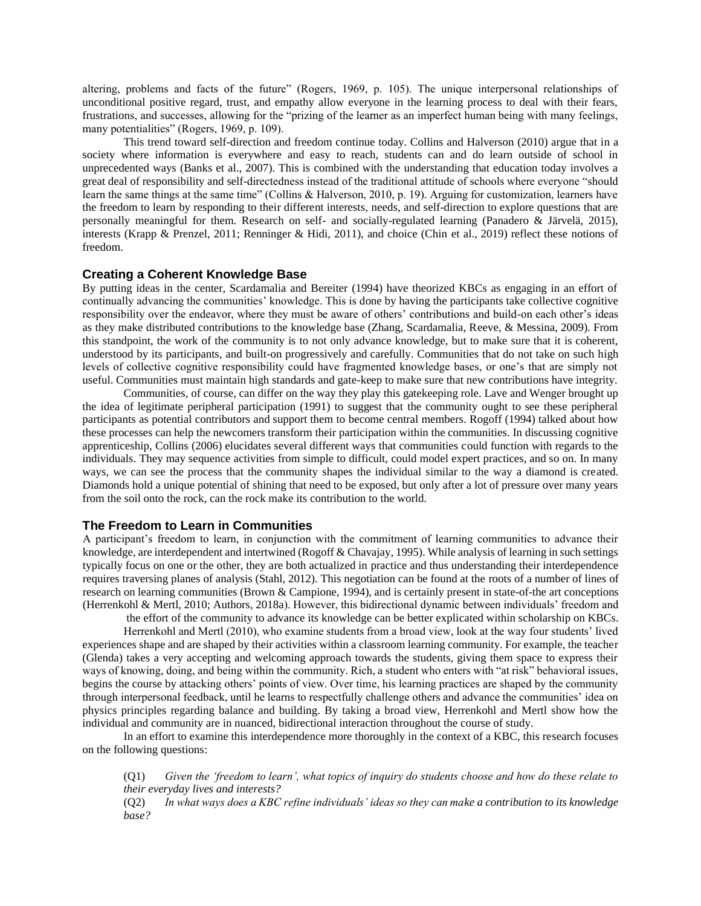altering, problems and facts of the future" (Rogers, 1969, p. 105). The unique interpersonal relationships of unconditional positive regard, trust, and empathy allow everyone in the learning process to deal with their fears, frustrations, and successes, allowing for the "prizing of the learner as an imperfect human being with many feelings, many potentialities" (Rogers, 1969, p. 109).

This trend toward self-direction and freedom continue today. Collins and Halverson (2010) argue that in a society where information is everywhere and easy to reach, students can and do learn outside of school in unprecedented ways (Banks et al., 2007). This is combined with the understanding that education today involves a great deal of responsibility and self-directedness instead of the traditional attitude of schools where everyone "should learn the same things at the same time" (Collins & Halverson, 2010, p. 19). Arguing for customization, learners have the freedom to learn by responding to their different interests, needs, and self-direction to explore questions that are personally meaningful for them. Research on self- and socially-regulated learning (Panadero & Järvelä, 2015), interests (Krapp & Prenzel, 2011; Renninger & Hidi, 2011), and choice (Chin et al., 2019) reflect these notions of freedom.

#### **Creating a Coherent Knowledge Base**

By putting ideas in the center, Scardamalia and Bereiter (1994) have theorized KBCs as engaging in an effort of continually advancing the communities' knowledge. This is done by having the participants take collective cognitive responsibility over the endeavor, where they must be aware of others' contributions and build-on each other's ideas as they make distributed contributions to the knowledge base (Zhang, Scardamalia, Reeve, & Messina, 2009). From this standpoint, the work of the community is to not only advance knowledge, but to make sure that it is coherent, understood by its participants, and built-on progressively and carefully. Communities that do not take on such high levels of collective cognitive responsibility could have fragmented knowledge bases, or one's that are simply not useful. Communities must maintain high standards and gate-keep to make sure that new contributions have integrity.

Communities, of course, can differ on the way they play this gatekeeping role. Lave and Wenger brought up the idea of legitimate peripheral participation (1991) to suggest that the community ought to see these peripheral participants as potential contributors and support them to become central members. Rogoff (1994) talked about how these processes can help the newcomers transform their participation within the communities. In discussing cognitive apprenticeship, Collins (2006) elucidates several different ways that communities could function with regards to the individuals. They may sequence activities from simple to difficult, could model expert practices, and so on. In many ways, we can see the process that the community shapes the individual similar to the way a diamond is created. Diamonds hold a unique potential of shining that need to be exposed, but only after a lot of pressure over many years from the soil onto the rock, can the rock make its contribution to the world.

#### **The Freedom to Learn in Communities**

A participant's freedom to learn, in conjunction with the commitment of learning communities to advance their knowledge, are interdependent and intertwined (Rogoff & Chavajay, 1995). While analysis of learning in such settings typically focus on one or the other, they are both actualized in practice and thus understanding their interdependence requires traversing planes of analysis (Stahl, 2012). This negotiation can be found at the roots of a number of lines of research on learning communities (Brown & Campione, 1994), and is certainly present in state-of-the art conceptions (Herrenkohl & Mertl, 2010; Authors, 2018a). However, this bidirectional dynamic between individuals' freedom and

the effort of the community to advance its knowledge can be better explicated within scholarship on KBCs. Herrenkohl and Mertl (2010), who examine students from a broad view, look at the way four students' lived experiences shape and are shaped by their activities within a classroom learning community. For example, the teacher (Glenda) takes a very accepting and welcoming approach towards the students, giving them space to express their ways of knowing, doing, and being within the community. Rich, a student who enters with "at risk" behavioral issues, begins the course by attacking others' points of view. Over time, his learning practices are shaped by the community through interpersonal feedback, until he learns to respectfully challenge others and advance the communities' idea on physics principles regarding balance and building. By taking a broad view, Herrenkohl and Mertl show how the individual and community are in nuanced, bidirectional interaction throughout the course of study.

In an effort to examine this interdependence more thoroughly in the context of a KBC, this research focuses on the following questions:

(Q1) *Given the 'freedom to learn', what topics of inquiry do students choose and how do these relate to their everyday lives and interests?*

(Q2) *In what ways does a KBC refine individuals' ideas so they can make a contribution to its knowledge base?*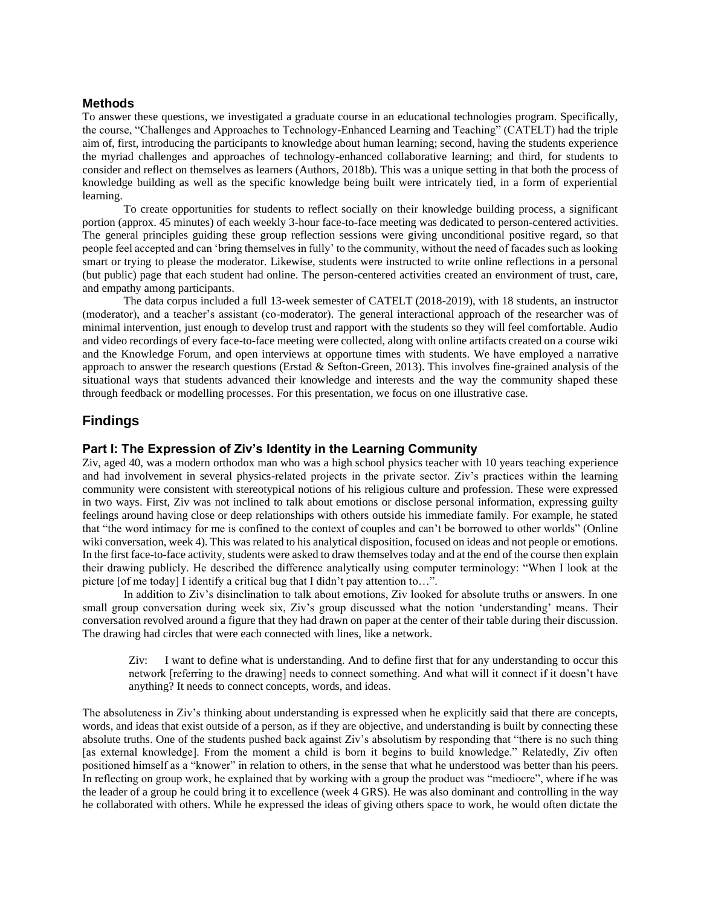### **Methods**

To answer these questions, we investigated a graduate course in an educational technologies program. Specifically, the course, "Challenges and Approaches to Technology-Enhanced Learning and Teaching" (CATELT) had the triple aim of, first, introducing the participants to knowledge about human learning; second, having the students experience the myriad challenges and approaches of technology-enhanced collaborative learning; and third, for students to consider and reflect on themselves as learners (Authors, 2018b). This was a unique setting in that both the process of knowledge building as well as the specific knowledge being built were intricately tied, in a form of experiential learning.

To create opportunities for students to reflect socially on their knowledge building process, a significant portion (approx. 45 minutes) of each weekly 3-hour face-to-face meeting was dedicated to person-centered activities. The general principles guiding these group reflection sessions were giving unconditional positive regard, so that people feel accepted and can 'bring themselves in fully' to the community, without the need of facades such as looking smart or trying to please the moderator. Likewise, students were instructed to write online reflections in a personal (but public) page that each student had online. The person-centered activities created an environment of trust, care, and empathy among participants.

The data corpus included a full 13-week semester of CATELT (2018-2019), with 18 students, an instructor (moderator), and a teacher's assistant (co-moderator). The general interactional approach of the researcher was of minimal intervention, just enough to develop trust and rapport with the students so they will feel comfortable. Audio and video recordings of every face-to-face meeting were collected, along with online artifacts created on a course wiki and the Knowledge Forum, and open interviews at opportune times with students. We have employed a narrative approach to answer the research questions (Erstad & Sefton-Green, 2013). This involves fine-grained analysis of the situational ways that students advanced their knowledge and interests and the way the community shaped these through feedback or modelling processes. For this presentation, we focus on one illustrative case.

## **Findings**

## **Part I: The Expression of Ziv's Identity in the Learning Community**

Ziv, aged 40, was a modern orthodox man who was a high school physics teacher with 10 years teaching experience and had involvement in several physics-related projects in the private sector. Ziv's practices within the learning community were consistent with stereotypical notions of his religious culture and profession. These were expressed in two ways. First, Ziv was not inclined to talk about emotions or disclose personal information, expressing guilty feelings around having close or deep relationships with others outside his immediate family. For example, he stated that "the word intimacy for me is confined to the context of couples and can't be borrowed to other worlds" (Online wiki conversation, week 4). This was related to his analytical disposition, focused on ideas and not people or emotions. In the first face-to-face activity, students were asked to draw themselves today and at the end of the course then explain their drawing publicly. He described the difference analytically using computer terminology: "When I look at the picture [of me today] I identify a critical bug that I didn't pay attention to...".

In addition to Ziv's disinclination to talk about emotions, Ziv looked for absolute truths or answers. In one small group conversation during week six, Ziv's group discussed what the notion 'understanding' means. Their conversation revolved around a figure that they had drawn on paper at the center of their table during their discussion. The drawing had circles that were each connected with lines, like a network.

Ziv: I want to define what is understanding. And to define first that for any understanding to occur this network [referring to the drawing] needs to connect something. And what will it connect if it doesn't have anything? It needs to connect concepts, words, and ideas.

The absoluteness in Ziv's thinking about understanding is expressed when he explicitly said that there are concepts, words, and ideas that exist outside of a person, as if they are objective, and understanding is built by connecting these absolute truths. One of the students pushed back against Ziv's absolutism by responding that "there is no such thing [as external knowledge]. From the moment a child is born it begins to build knowledge." Relatedly, Ziv often positioned himself as a "knower" in relation to others, in the sense that what he understood was better than his peers. In reflecting on group work, he explained that by working with a group the product was "mediocre", where if he was the leader of a group he could bring it to excellence (week 4 GRS). He was also dominant and controlling in the way he collaborated with others. While he expressed the ideas of giving others space to work, he would often dictate the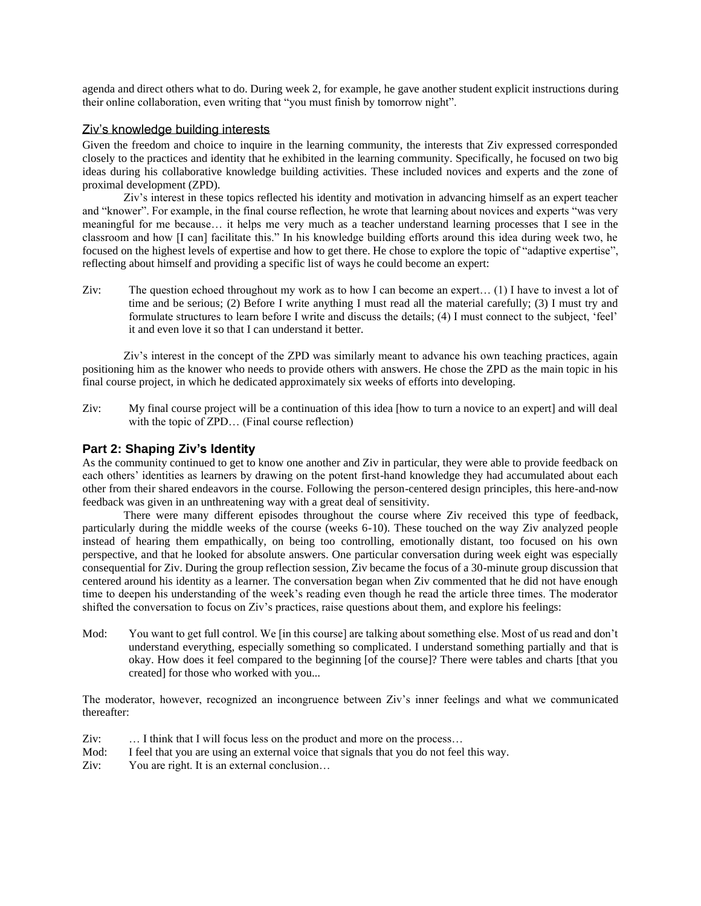agenda and direct others what to do. During week 2, for example, he gave another student explicit instructions during their online collaboration, even writing that "you must finish by tomorrow night".

## Ziv's knowledge building interests

Given the freedom and choice to inquire in the learning community, the interests that Ziv expressed corresponded closely to the practices and identity that he exhibited in the learning community. Specifically, he focused on two big ideas during his collaborative knowledge building activities. These included novices and experts and the zone of proximal development (ZPD).

Ziv's interest in these topics reflected his identity and motivation in advancing himself as an expert teacher and "knower". For example, in the final course reflection, he wrote that learning about novices and experts "was very meaningful for me because… it helps me very much as a teacher understand learning processes that I see in the classroom and how [I can] facilitate this." In his knowledge building efforts around this idea during week two, he focused on the highest levels of expertise and how to get there. He chose to explore the topic of "adaptive expertise", reflecting about himself and providing a specific list of ways he could become an expert:

Ziv: The question echoed throughout my work as to how I can become an expert… (1) I have to invest a lot of time and be serious; (2) Before I write anything I must read all the material carefully; (3) I must try and formulate structures to learn before I write and discuss the details; (4) I must connect to the subject, 'feel' it and even love it so that I can understand it better.

Ziv's interest in the concept of the ZPD was similarly meant to advance his own teaching practices, again positioning him as the knower who needs to provide others with answers. He chose the ZPD as the main topic in his final course project, in which he dedicated approximately six weeks of efforts into developing.

Ziv: My final course project will be a continuation of this idea [how to turn a novice to an expert] and will deal with the topic of ZPD... (Final course reflection)

# **Part 2: Shaping Ziv's Identity**

As the community continued to get to know one another and Ziv in particular, they were able to provide feedback on each others' identities as learners by drawing on the potent first-hand knowledge they had accumulated about each other from their shared endeavors in the course. Following the person-centered design principles, this here-and-now feedback was given in an unthreatening way with a great deal of sensitivity.

There were many different episodes throughout the course where Ziv received this type of feedback, particularly during the middle weeks of the course (weeks 6-10). These touched on the way Ziv analyzed people instead of hearing them empathically, on being too controlling, emotionally distant, too focused on his own perspective, and that he looked for absolute answers. One particular conversation during week eight was especially consequential for Ziv. During the group reflection session, Ziv became the focus of a 30-minute group discussion that centered around his identity as a learner. The conversation began when Ziv commented that he did not have enough time to deepen his understanding of the week's reading even though he read the article three times. The moderator shifted the conversation to focus on Ziv's practices, raise questions about them, and explore his feelings:

Mod: You want to get full control. We [in this course] are talking about something else. Most of us read and don't understand everything, especially something so complicated. I understand something partially and that is okay. How does it feel compared to the beginning [of the course]? There were tables and charts [that you created] for those who worked with you...

The moderator, however, recognized an incongruence between Ziv's inner feelings and what we communicated thereafter:

- Ziv: … I think that I will focus less on the product and more on the process…
- Mod: I feel that you are using an external voice that signals that you do not feel this way.
- Ziv: You are right. It is an external conclusion...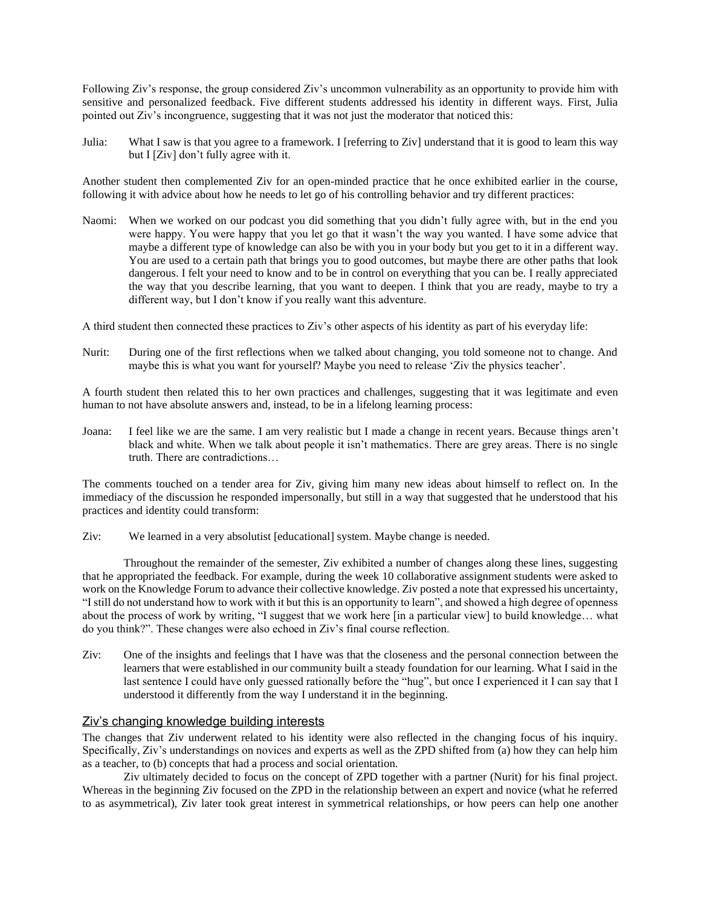Following Ziv's response, the group considered Ziv's uncommon vulnerability as an opportunity to provide him with sensitive and personalized feedback. Five different students addressed his identity in different ways. First, Julia pointed out Ziv's incongruence, suggesting that it was not just the moderator that noticed this:

Julia: What I saw is that you agree to a framework. I [referring to Ziv] understand that it is good to learn this way but I [Ziv] don't fully agree with it.

Another student then complemented Ziv for an open-minded practice that he once exhibited earlier in the course, following it with advice about how he needs to let go of his controlling behavior and try different practices:

Naomi: When we worked on our podcast you did something that you didn't fully agree with, but in the end you were happy. You were happy that you let go that it wasn't the way you wanted. I have some advice that maybe a different type of knowledge can also be with you in your body but you get to it in a different way. You are used to a certain path that brings you to good outcomes, but maybe there are other paths that look dangerous. I felt your need to know and to be in control on everything that you can be. I really appreciated the way that you describe learning, that you want to deepen. I think that you are ready, maybe to try a different way, but I don't know if you really want this adventure.

A third student then connected these practices to Ziv's other aspects of his identity as part of his everyday life:

Nurit: During one of the first reflections when we talked about changing, you told someone not to change. And maybe this is what you want for yourself? Maybe you need to release 'Ziv the physics teacher'.

A fourth student then related this to her own practices and challenges, suggesting that it was legitimate and even human to not have absolute answers and, instead, to be in a lifelong learning process:

Joana: I feel like we are the same. I am very realistic but I made a change in recent years. Because things aren't black and white. When we talk about people it isn't mathematics. There are grey areas. There is no single truth. There are contradictions…

The comments touched on a tender area for Ziv, giving him many new ideas about himself to reflect on. In the immediacy of the discussion he responded impersonally, but still in a way that suggested that he understood that his practices and identity could transform:

Ziv: We learned in a very absolutist [educational] system. Maybe change is needed.

Throughout the remainder of the semester, Ziv exhibited a number of changes along these lines, suggesting that he appropriated the feedback. For example, during the week 10 collaborative assignment students were asked to work on the Knowledge Forum to advance their collective knowledge. Ziv posted a note that expressed his uncertainty, "I still do not understand how to work with it but this is an opportunity to learn", and showed a high degree of openness about the process of work by writing, "I suggest that we work here [in a particular view] to build knowledge… what do you think?". These changes were also echoed in Ziv's final course reflection.

Ziv: One of the insights and feelings that I have was that the closeness and the personal connection between the learners that were established in our community built a steady foundation for our learning. What I said in the last sentence I could have only guessed rationally before the "hug", but once I experienced it I can say that I understood it differently from the way I understand it in the beginning.

## Ziv's changing knowledge building interests

The changes that Ziv underwent related to his identity were also reflected in the changing focus of his inquiry. Specifically, Ziv's understandings on novices and experts as well as the ZPD shifted from (a) how they can help him as a teacher, to (b) concepts that had a process and social orientation.

Ziv ultimately decided to focus on the concept of ZPD together with a partner (Nurit) for his final project. Whereas in the beginning Ziv focused on the ZPD in the relationship between an expert and novice (what he referred to as asymmetrical), Ziv later took great interest in symmetrical relationships, or how peers can help one another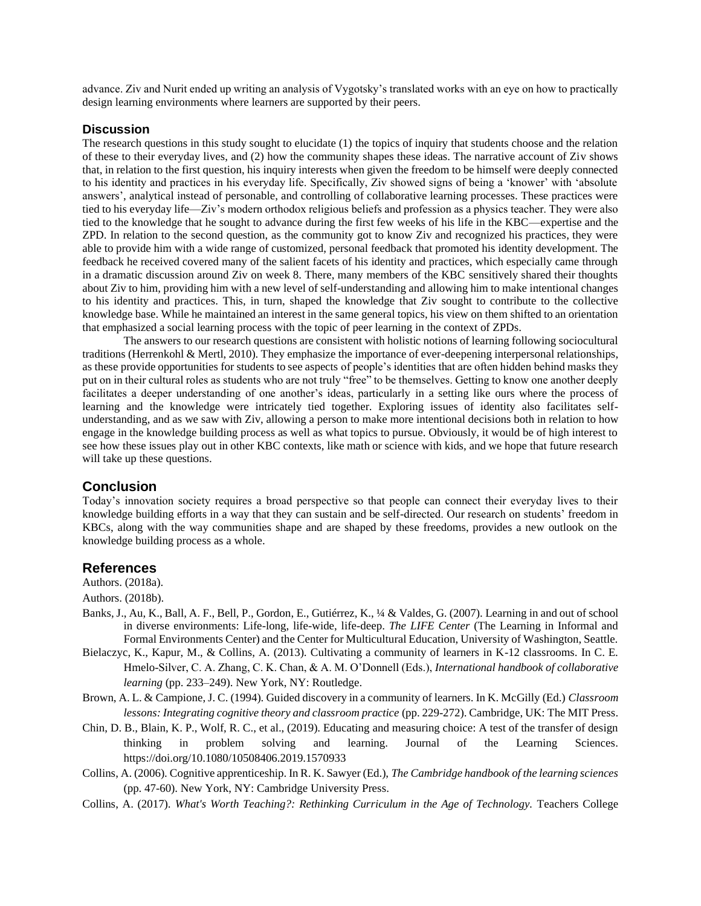advance. Ziv and Nurit ended up writing an analysis of Vygotsky's translated works with an eye on how to practically design learning environments where learners are supported by their peers.

#### **Discussion**

The research questions in this study sought to elucidate (1) the topics of inquiry that students choose and the relation of these to their everyday lives, and (2) how the community shapes these ideas. The narrative account of Ziv shows that, in relation to the first question, his inquiry interests when given the freedom to be himself were deeply connected to his identity and practices in his everyday life. Specifically, Ziv showed signs of being a 'knower' with 'absolute answers', analytical instead of personable, and controlling of collaborative learning processes. These practices were tied to his everyday life—Ziv's modern orthodox religious beliefs and profession as a physics teacher. They were also tied to the knowledge that he sought to advance during the first few weeks of his life in the KBC—expertise and the ZPD. In relation to the second question, as the community got to know Ziv and recognized his practices, they were able to provide him with a wide range of customized, personal feedback that promoted his identity development. The feedback he received covered many of the salient facets of his identity and practices, which especially came through in a dramatic discussion around Ziv on week 8. There, many members of the KBC sensitively shared their thoughts about Ziv to him, providing him with a new level of self-understanding and allowing him to make intentional changes to his identity and practices. This, in turn, shaped the knowledge that Ziv sought to contribute to the collective knowledge base. While he maintained an interest in the same general topics, his view on them shifted to an orientation that emphasized a social learning process with the topic of peer learning in the context of ZPDs.

The answers to our research questions are consistent with holistic notions of learning following sociocultural traditions (Herrenkohl & Mertl, 2010). They emphasize the importance of ever-deepening interpersonal relationships, as these provide opportunities for students to see aspects of people's identities that are often hidden behind masks they put on in their cultural roles as students who are not truly "free" to be themselves. Getting to know one another deeply facilitates a deeper understanding of one another's ideas, particularly in a setting like ours where the process of learning and the knowledge were intricately tied together. Exploring issues of identity also facilitates selfunderstanding, and as we saw with Ziv, allowing a person to make more intentional decisions both in relation to how engage in the knowledge building process as well as what topics to pursue. Obviously, it would be of high interest to see how these issues play out in other KBC contexts, like math or science with kids, and we hope that future research will take up these questions.

## **Conclusion**

Today's innovation society requires a broad perspective so that people can connect their everyday lives to their knowledge building efforts in a way that they can sustain and be self-directed. Our research on students' freedom in KBCs, along with the way communities shape and are shaped by these freedoms, provides a new outlook on the knowledge building process as a whole.

#### **References**

#### Authors. (2018b).

- Banks, J., Au, K., Ball, A. F., Bell, P., Gordon, E., Gutiérrez, K., ¼ & Valdes, G. (2007). Learning in and out of school in diverse environments: Life-long, life-wide, life-deep. *The LIFE Center* (The Learning in Informal and Formal Environments Center) and the Center for Multicultural Education, University of Washington, Seattle.
- Bielaczyc, K., Kapur, M., & Collins, A. (2013). Cultivating a community of learners in K-12 classrooms. In C. E. Hmelo-Silver, C. A. Zhang, C. K. Chan, & A. M. O'Donnell (Eds.), *International handbook of collaborative learning* (pp. 233–249). New York, NY: Routledge.
- Brown, A. L. & Campione, J. C. (1994). Guided discovery in a community of learners. In K. McGilly (Ed.) *Classroom lessons: Integrating cognitive theory and classroom practice* (pp. 229-272). Cambridge, UK: The MIT Press.
- Chin, D. B., Blain, K. P., Wolf, R. C., et al., (2019). Educating and measuring choice: A test of the transfer of design thinking in problem solving and learning. Journal of the Learning Sciences. https://doi.org/10.1080/10508406.2019.1570933
- Collins, A. (2006). Cognitive apprenticeship. In R. K. Sawyer (Ed.), *The Cambridge handbook of the learning sciences* (pp. 47-60). New York, NY: Cambridge University Press.
- Collins, A. (2017). *What's Worth Teaching?: Rethinking Curriculum in the Age of Technology.* Teachers College

Authors. (2018a).